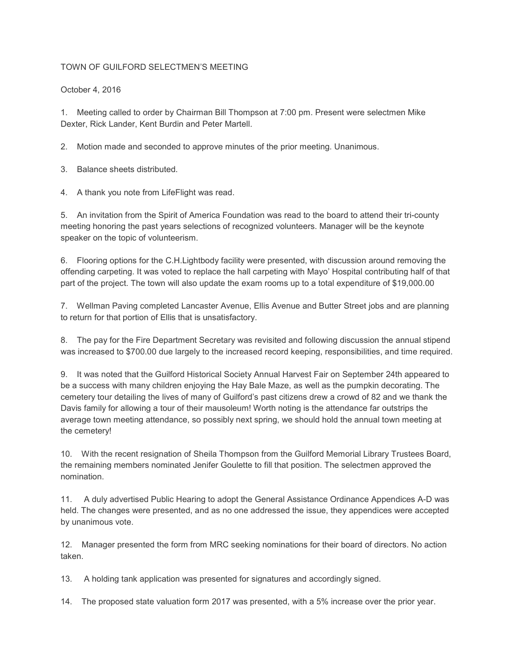## TOWN OF GUILFORD SELECTMEN'S MEETING

October 4, 2016

1. Meeting called to order by Chairman Bill Thompson at 7:00 pm. Present were selectmen Mike Dexter, Rick Lander, Kent Burdin and Peter Martell.

2. Motion made and seconded to approve minutes of the prior meeting. Unanimous.

- 3. Balance sheets distributed.
- 4. A thank you note from LifeFlight was read.

5. An invitation from the Spirit of America Foundation was read to the board to attend their tri-county meeting honoring the past years selections of recognized volunteers. Manager will be the keynote speaker on the topic of volunteerism.

6. Flooring options for the C.H.Lightbody facility were presented, with discussion around removing the offending carpeting. It was voted to replace the hall carpeting with Mayo' Hospital contributing half of that part of the project. The town will also update the exam rooms up to a total expenditure of \$19,000.00

7. Wellman Paving completed Lancaster Avenue, Ellis Avenue and Butter Street jobs and are planning to return for that portion of Ellis that is unsatisfactory.

8. The pay for the Fire Department Secretary was revisited and following discussion the annual stipend was increased to \$700.00 due largely to the increased record keeping, responsibilities, and time required.

9. It was noted that the Guilford Historical Society Annual Harvest Fair on September 24th appeared to be a success with many children enjoying the Hay Bale Maze, as well as the pumpkin decorating. The cemetery tour detailing the lives of many of Guilford's past citizens drew a crowd of 82 and we thank the Davis family for allowing a tour of their mausoleum! Worth noting is the attendance far outstrips the average town meeting attendance, so possibly next spring, we should hold the annual town meeting at the cemetery!

10. With the recent resignation of Sheila Thompson from the Guilford Memorial Library Trustees Board, the remaining members nominated Jenifer Goulette to fill that position. The selectmen approved the nomination.

11. A duly advertised Public Hearing to adopt the General Assistance Ordinance Appendices A-D was held. The changes were presented, and as no one addressed the issue, they appendices were accepted by unanimous vote.

12. Manager presented the form from MRC seeking nominations for their board of directors. No action taken.

13. A holding tank application was presented for signatures and accordingly signed.

14. The proposed state valuation form 2017 was presented, with a 5% increase over the prior year.